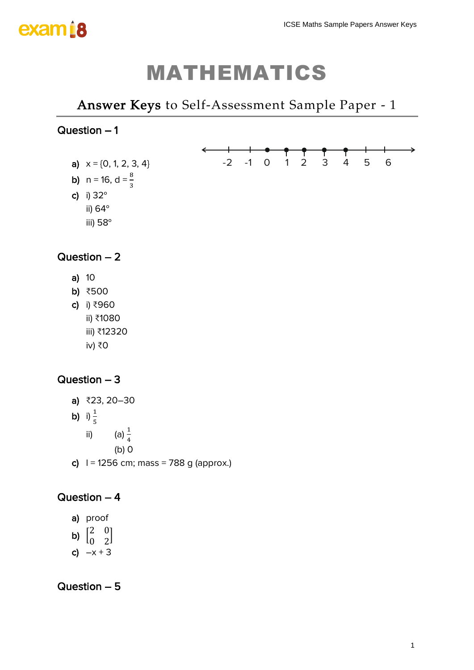# exam is

# MATHEMATICS

## *Answer Keys to Self-Assessment Sample Paper - 1*

## Question – 1

a)  $x = \{0, 1, 2, 3, 4\}$ **b)**  $n = 16$ ,  $d = \frac{8}{3}$ c) i) 32° ii) 64°



## Question – 2

iii) 58°

- a) 10
- b) ₹500
- c) i) ₹960
	- ii) ₹1080
	- iii) ₹12320 iv) ₹0

## Question – 3

a) ₹23, 20–30 **b)** i)  $\frac{1}{5}$ ii) (a)  $\frac{1}{4}$ (b) 0 c)  $1 = 1256$  cm; mass = 788 g (approx.)

## Question – 4

- a) proof
- b)  $\begin{bmatrix} 2 & 0 \\ 0 & 2 \end{bmatrix}$  $\begin{bmatrix} 2 & 0 \\ 0 & 2 \end{bmatrix}$
- c)  $-x + 3$

Question – 5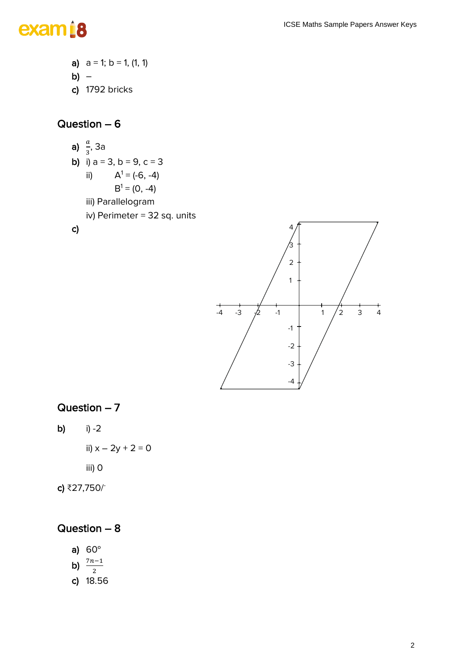# exam<sup>18</sup>

a)  $a = 1$ ;  $b = 1$ ,  $(1, 1)$ b) – c) 1792 bricks

## Question – 6

**a)** 
$$
\frac{a}{3}
$$
, 3a  
\n**b)** i) a = 3, b = 9, c = 3  
\nii)  $A^1 = (-6, -4)$   
\n $B^1 = (0, -4)$ 

- iii) Parallelogram
- iv) Perimeter = 32 sq. units

### c)



## Question – 7

b)  $i) -2$ 

ii)  $x - 2y + 2 = 0$ 

iii) 0

c) ₹27,750/-

## Question – 8

- a) 60°
- b)  $\frac{7n-1}{2}$
- c) 18.56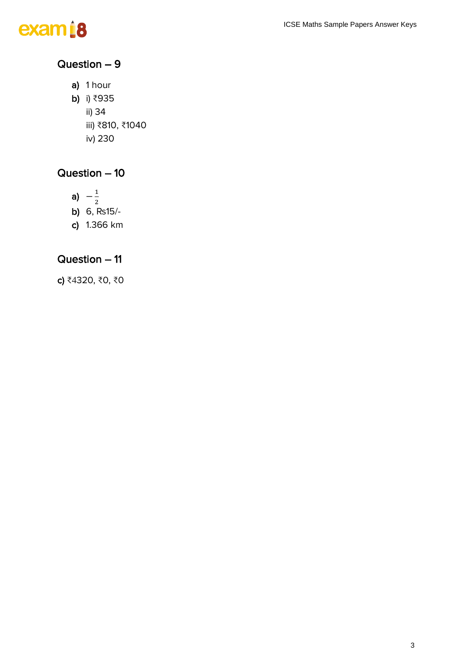

## Question – 9

a) 1 hour b) i) ₹935 ii) 34 iii) ₹810, ₹1040 iv) 230

## Question – 10

a)  $-\frac{1}{a}$ 2 b) 6, ₨15/ c) 1.366 km

## Question – 11

c) ₹4320, ₹0, ₹0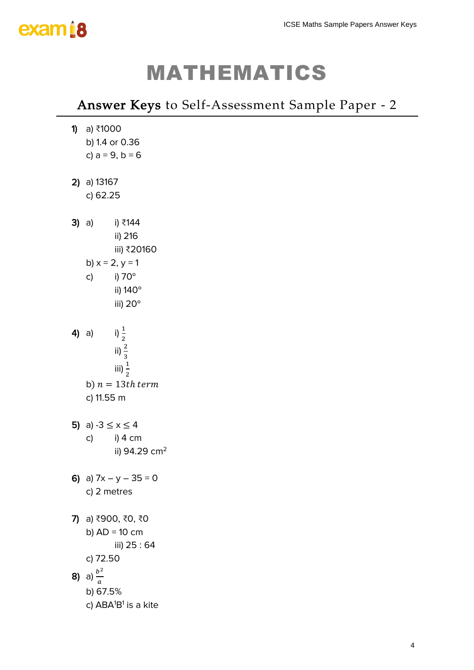

# MATHEMATICS

# *Answer Keys to Self-Assessment Sample Paper - 2* ICSE Maths Sample Papers Answer Keys<br>
ICS<br>
Sample Paper - 2<br>
<sup>4</sup>

| <b>1)</b> a) ₹1000<br>b) 1.4 or 0.36         |                           |  |  |
|----------------------------------------------|---------------------------|--|--|
| c) $a = 9$ , $b = 6$                         |                           |  |  |
| $2)$ a) 13167                                |                           |  |  |
| c) 62.25                                     |                           |  |  |
| i) ₹144<br><b>3)</b> a)                      |                           |  |  |
| ii) 216                                      | iii) ₹20160               |  |  |
| b) $x = 2, y = 1$                            |                           |  |  |
| i) 70°<br>c)                                 |                           |  |  |
| ii) 140°                                     |                           |  |  |
| iii) 20°                                     |                           |  |  |
| i) $\frac{1}{2}$<br>$4)$ a)                  |                           |  |  |
| ii) $\frac{2}{3}$                            |                           |  |  |
| iii) $\frac{1}{2}$                           |                           |  |  |
| b) $n=13th~term$                             |                           |  |  |
| c) 11.55 m                                   |                           |  |  |
| 5) a) -3 $\le x \le 4$                       |                           |  |  |
| i) 4 cm<br>c)                                |                           |  |  |
|                                              | ii) 94.29 cm <sup>2</sup> |  |  |
| 6) a) $7x - y - 35 = 0$                      |                           |  |  |
| c) 2 metres                                  |                           |  |  |
| 7) a) ₹900, ₹0, ₹0                           |                           |  |  |
| b) $AD = 10$ cm                              |                           |  |  |
|                                              | iii) 25:64                |  |  |
| c) 72.50                                     |                           |  |  |
| <b>8)</b> a) $\frac{b^2}{a}$                 |                           |  |  |
| b) 67.5%                                     |                           |  |  |
| c) ABA <sup>1</sup> B <sup>1</sup> is a kite |                           |  |  |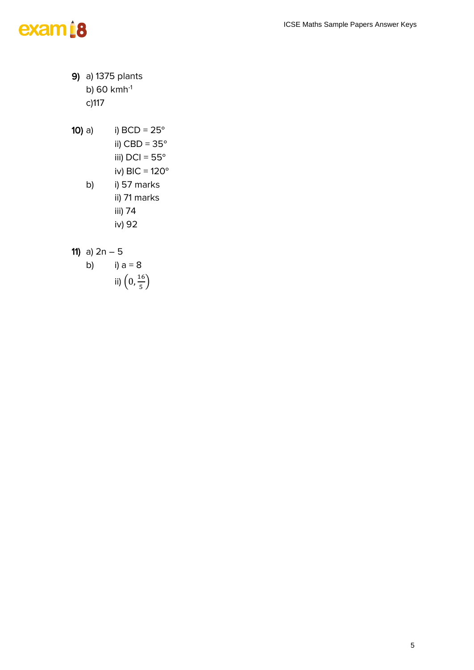# exam<sup>i8</sup>

9) a) 1375 plants b) 60 kmh-1 c)117

10) a) i) BCD = 25° ii) CBD = 35° iii) DCI = 55° iv) BIC = 120° b) i) 57 marks ii) 71 marks iii) 74 iv) 92

11) a) 
$$
2n - 5
$$

b)   
i) 
$$
a = 8
$$
  
ii)  $\left(0, \frac{16}{5}\right)$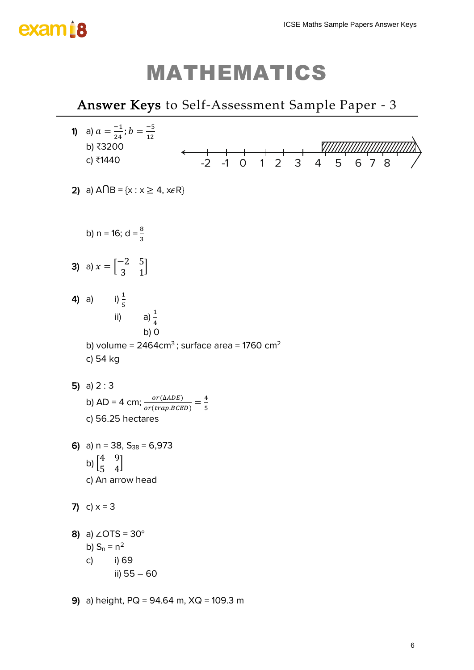# exam i 8

# MATHEMATICS

# *Answer Keys to Self-Assessment Sample Paper - 3* 1) a)  $a = \frac{-1}{34}$  $\frac{-1}{24}$ ;  $b = \frac{-5}{12}$ 12 b) ₹3200 c) ₹1440 2) a)  $A \cap B = \{x : x \ge 4, x \in R\}$ b) n = 16; d =  $\frac{8}{3}$ **3)** a)  $x = \begin{bmatrix} -2 & 5 \\ 2 & 1 \end{bmatrix}$  $\begin{bmatrix} 2 & 3 \\ 3 & 1 \end{bmatrix}$ **4)** a) i)  $\frac{1}{5}$ ii) a) $\frac{1}{4}$ b) 0 b) volume =  $2464 \text{cm}^3$ ; surface area = 1760 cm<sup>2</sup> c) 54 kg 5) a)  $2:3$ b) AD = 4 cm;  $\frac{or(\triangle ADE)}{or(trap.BEED)} = \frac{4}{5}$ 5 c) 56.25 hectares 6) a)  $n = 38$ ,  $S_{38} = 6,973$ b)  $\begin{bmatrix} 4 & 9 \\ 7 & 4 \end{bmatrix}$  $\begin{bmatrix} 7 & 7 \\ 5 & 4 \end{bmatrix}$ c) An arrow head 7) c)  $x = 3$ 8) a)  $\angle$ OTS = 30° b)  $S_n = n^2$ c) i) 69 ii) 55 – 60 -2 -1 0 1 2 3 4 5 6 7 8 ICSE Maths Sample Papers Answer Keys<br>
<u>ICSES</u><br>
<u>ICSES</u><br>
3 4 5 6 7 8<br>
6

9) a) height, PQ = 94.64 m, XQ = 109.3 m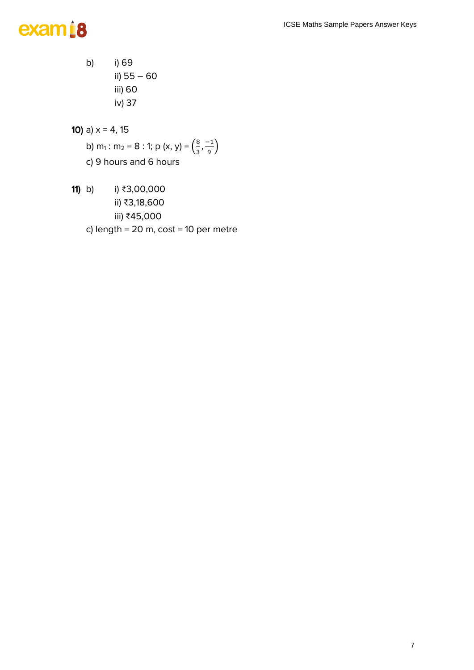# exam<sup>18</sup>

b) i) 69 ii) 55 – 60 iii) 60 iv) 37

10) a)  $x = 4, 15$ 

- b) m<sub>1</sub> : m<sub>2</sub> = 8 : 1; p (x, y) =  $\left(\frac{8}{3}\right)$  $\frac{8}{3}, \frac{-1}{9}$  $\frac{1}{9}$ c) 9 hours and 6 hours
- 11) b) i) ₹3,00,000 ii) ₹3,18,600 iii) ₹45,000 c) length =  $20 \text{ m}$ , cost =  $10 \text{ per metre}$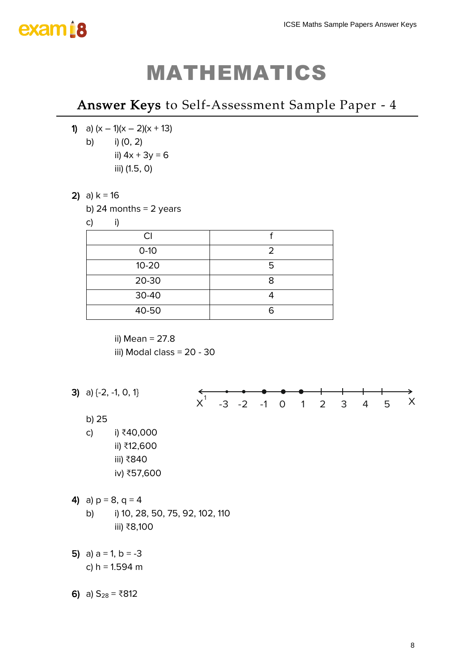# exam<sub>18</sub>

# MATHEMATICS

## *Answer Keys to Self-Assessment Sample Paper - 4*

1) a)  $(x - 1)(x - 2)(x + 13)$ b) i) (0, 2) ii)  $4x + 3y = 6$ iii) (1.5, 0)

## 2) a)  $k = 16$

b) 24 months  $= 2$  years

c) i)

| СI        |   |
|-----------|---|
| $0-10$    |   |
| $10 - 20$ | 5 |
| 20-30     |   |
| 30-40     |   |
| 40-50     | r |

ii) Mean = 27.8 iii) Modal class = 20 - 30



6) a)  $S_{28} = ₹812$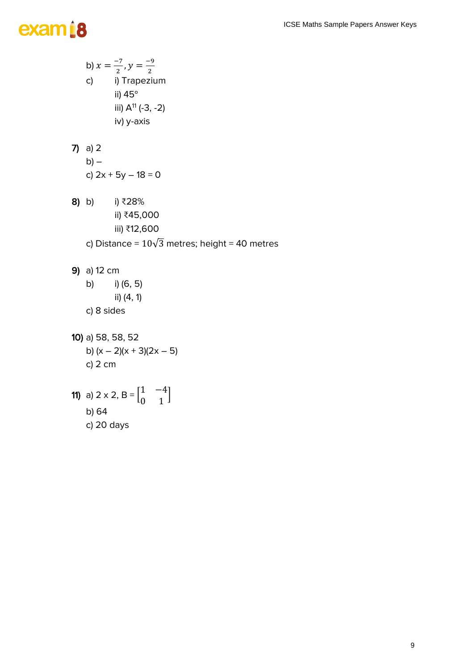# exam<sup>i8</sup>

b)  $x = \frac{-7}{2}$  $\frac{-7}{2}$ ,  $y = \frac{-9}{2}$ 2 c) i) Trapezium ii) 45° iii)  $A^{11}$  (-3, -2) iv) y-axis

7) a) 2  
b) -  
c) 
$$
2x + 5y - 18 = 0
$$

- 8) b) i) ₹28% ii) ₹45,000 iii) ₹12,600 c) Distance =  $10\sqrt{3}$  metres; height = 40 metres
- 9) a) 12 cm
	- b) i) (6, 5) ii) (4, 1) c) 8 sides
- 10) a) 58, 58, 52 b)  $(x - 2)(x + 3)(2x - 5)$ c) 2 cm

**11)** a) 
$$
2 \times 2
$$
, B =  $\begin{bmatrix} 1 & -4 \\ 0 & 1 \end{bmatrix}$   
b) 64  
c) 20 days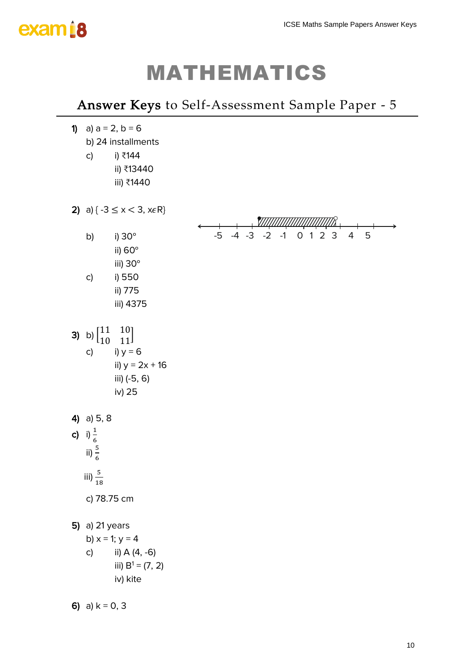

# MATHEMATICS

## *Answer Keys to Self-Assessment Sample Paper - 5*

| $\mathbf{D}$ | a) $a = 2$ , $b = 6$<br>b) 24 installments                                                                                                  |           |              |              |         |                              |   |
|--------------|---------------------------------------------------------------------------------------------------------------------------------------------|-----------|--------------|--------------|---------|------------------------------|---|
|              | i) ₹144<br>c)<br>ii) ₹13440                                                                                                                 |           |              |              |         |                              |   |
|              | iii) ₹1440                                                                                                                                  |           |              |              |         |                              |   |
|              | 2) a) $\{-3 \le x < 3, x \in \mathbb{R}\}\$                                                                                                 |           |              |              |         |                              |   |
|              | i) 30°<br>b)<br>ii) 60°<br>iii) 30°                                                                                                         | $+$<br>-5 | $-4$<br>$-3$ | $-1$<br>$-2$ | $0$ 1 2 | $\overline{\mathbf{3}}$<br>4 | 5 |
|              | i) 550<br>c)<br>ii) 775<br>iii) 4375                                                                                                        |           |              |              |         |                              |   |
| 3)           | $10$ ]<br>[11<br>b) $\begin{bmatrix} 1 & 0 \\ 0 & 1 \end{bmatrix}$<br>11<br>i) $y = 6$<br>c)<br>ii) $y = 2x + 16$<br>iii) (-5, 6)<br>iv) 25 |           |              |              |         |                              |   |
|              | 4) a) $5, 8$<br>c) i) $\frac{1}{6}$<br>ii) $\frac{5}{6}$                                                                                    |           |              |              |         |                              |   |
|              | iii) $\frac{5}{18}$                                                                                                                         |           |              |              |         |                              |   |
|              | c) 78.75 cm                                                                                                                                 |           |              |              |         |                              |   |
|              | 5) a) 21 years<br>b) $x = 1$ ; $y = 4$<br>ii) A (4, -6)<br>$\mathsf{C}$<br>iii) $B^1 = (7, 2)$<br>iv) kite                                  |           |              |              |         |                              |   |
|              | 6) a) $k = 0, 3$                                                                                                                            |           |              |              |         |                              |   |